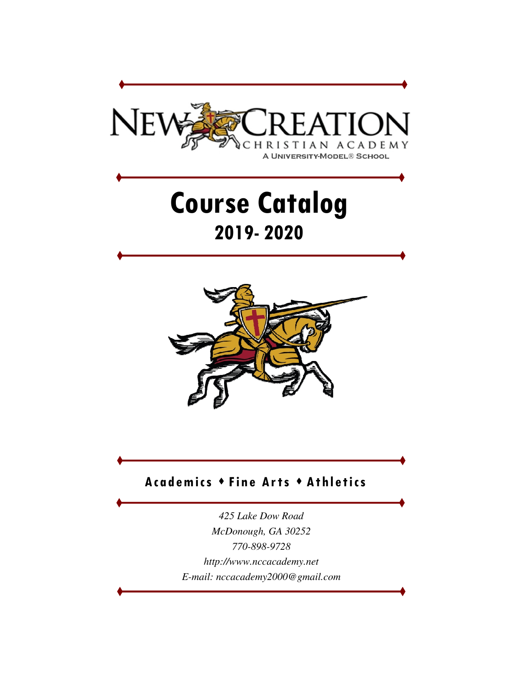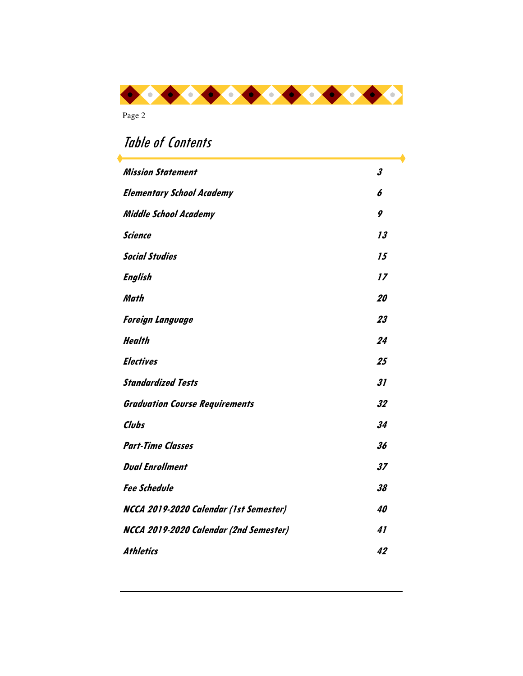

# Table of Contents Mission Statement 3 **Elementary School Academy 6 Middle School Academy 9 Science** 13 **Social Studies 15 English 17 Math 20 Foreign Language 23 Health 24 Electives 25 Standardized Tests 31 Graduation Course Requirements 32 Clubs 34 Part-Time Classes 36 Dual Enrollment 37 Fee Schedule 38 NCCA 2019-2020 Calendar (1st Semester) 40 NCCA 2019-2020 Calendar (2nd Semester) 41 Athletics 42**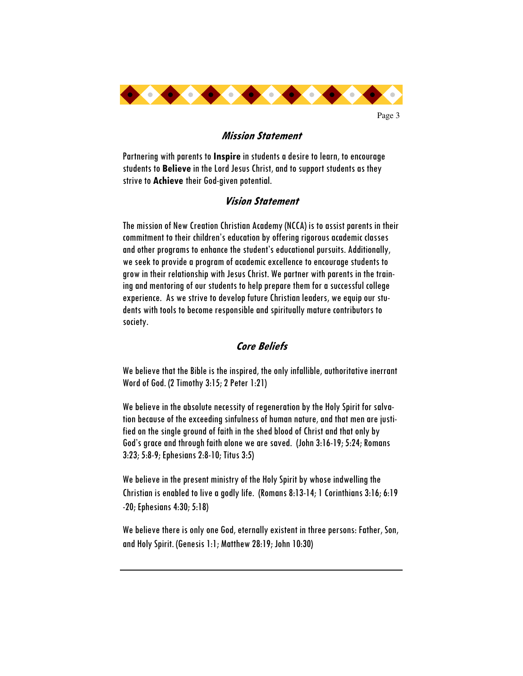

# **Mission Statement**

Partnering with parents to **Inspire** in students a desire to learn, to encourage students to **Believe** in the Lord Jesus Christ, and to support students as they strive to **Achieve** their God-given potential.

# **Vision Statement**

The mission of New Creation Christian Academy (NCCA) is to assist parents in their commitment to their children's education by offering rigorous academic classes and other programs to enhance the student's educational pursuits. Additionally, we seek to provide a program of academic excellence to encourage students to grow in their relationship with Jesus Christ. We partner with parents in the training and mentoring of our students to help prepare them for a successful college experience. As we strive to develop future Christian leaders, we equip our students with tools to become responsible and spiritually mature contributors to society.

# **Core Beliefs**

We believe that the Bible is the inspired, the only infallible, authoritative inerrant Word of God. (2 Timothy 3:15; 2 Peter 1:21)

We believe in the absolute necessity of regeneration by the Holy Spirit for salvation because of the exceeding sinfulness of human nature, and that men are justified on the single ground of faith in the shed blood of Christ and that only by God's grace and through faith alone we are saved. (John 3:16-19; 5:24; Romans 3:23; 5:8-9; Ephesians 2:8-10; Titus 3:5)

We believe in the present ministry of the Holy Spirit by whose indwelling the Christian is enabled to live a godly life. (Romans 8:13-14; 1 Corinthians 3:16; 6:19 -20; Ephesians 4:30; 5:18)

We believe there is only one God, eternally existent in three persons: Father, Son, and Holy Spirit. (Genesis 1:1; Matthew 28:19; John 10:30)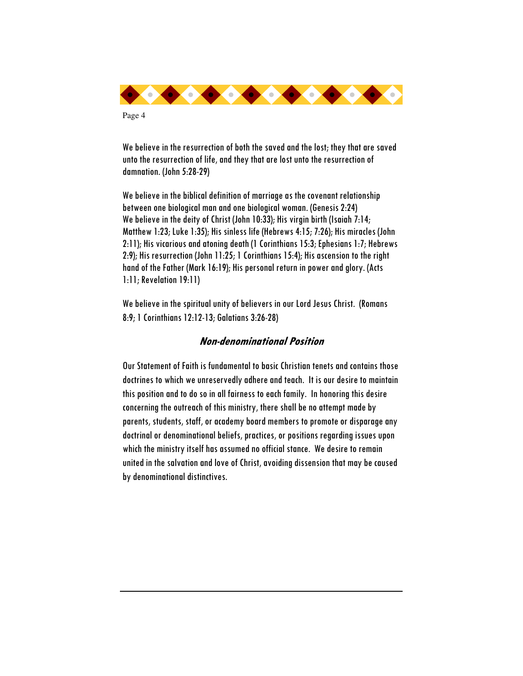

We believe in the resurrection of both the saved and the lost; they that are saved unto the resurrection of life, and they that are lost unto the resurrection of damnation. (John 5:28-29)

We believe in the biblical definition of marriage as the covenant relationship between one biological man and one biological woman. (Genesis 2:24) We believe in the deity of Christ (John 10:33); His virgin birth (Isaiah 7:14; Matthew 1:23; Luke 1:35); His sinless life (Hebrews 4:15; 7:26); His miracles (John 2:11); His vicarious and atoning death (1 Corinthians 15:3; Ephesians 1:7; Hebrews 2:9); His resurrection (John 11:25; 1 Corinthians 15:4); His ascension to the right hand of the Father (Mark 16:19); His personal return in power and glory. (Acts 1:11; Revelation 19:11)

We believe in the spiritual unity of believers in our Lord Jesus Christ. (Romans 8:9; 1 Corinthians 12:12-13; Galatians 3:26-28)

# **Non-denominational Position**

Our Statement of Faith is fundamental to basic Christian tenets and contains those doctrines to which we unreservedly adhere and teach. It is our desire to maintain this position and to do so in all fairness to each family. In honoring this desire concerning the outreach of this ministry, there shall be no attempt made by parents, students, staff, or academy board members to promote or disparage any doctrinal or denominational beliefs, practices, or positions regarding issues upon which the ministry itself has assumed no official stance. We desire to remain united in the salvation and love of Christ, avoiding dissension that may be caused by denominational distinctives.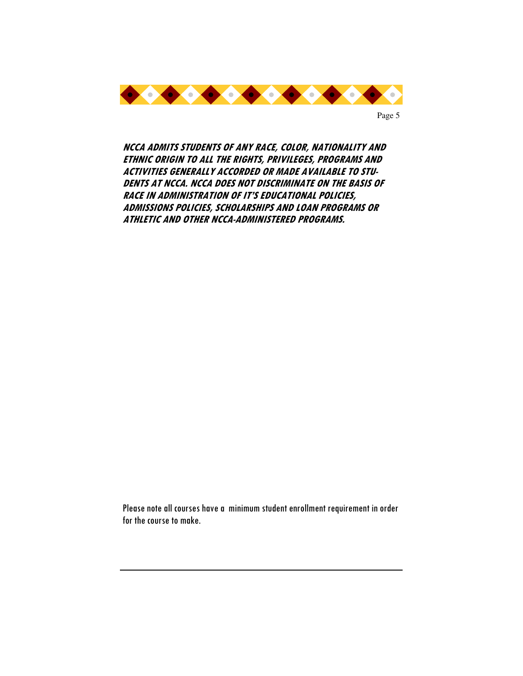

**NCCA ADMITS STUDENTS OF ANY RACE, COLOR, NATIONALITY AND ETHNIC ORIGIN TO ALL THE RIGHTS, PRIVILEGES, PROGRAMS AND ACTIVITIES GENERALLY ACCORDED OR MADE AVAILABLE TO STU-DENTS AT NCCA. NCCA DOES NOT DISCRIMINATE ON THE BASIS OF RACE IN ADMINISTRATION OF IT'S EDUCATIONAL POLICIES, ADMISSIONS POLICIES, SCHOLARSHIPS AND LOAN PROGRAMS OR ATHLETIC AND OTHER NCCA-ADMINISTERED PROGRAMS.** 

Please note all courses have a minimum student enrollment requirement in order for the course to make.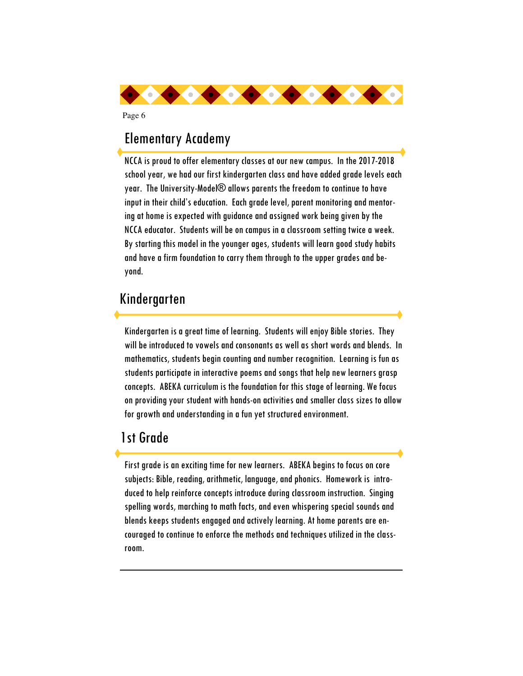

# Elementary Academy

Page 6

NCCA is proud to offer elementary classes at our new campus. In the 2017-2018 school year, we had our first kindergarten class and have added grade levels each year. The University-Model® allows parents the freedom to continue to have input in their child's education. Each grade level, parent monitoring and mentoring at home is expected with guidance and assigned work being given by the NCCA educator. Students will be on campus in a classroom setting twice a week. By starting this model in the younger ages, students will learn good study habits and have a firm foundation to carry them through to the upper grades and beyond.

# Kindergarten

Kindergarten is a great time of learning. Students will enjoy Bible stories. They will be introduced to vowels and consonants as well as short words and blends. In mathematics, students begin counting and number recognition. Learning is fun as students participate in interactive poems and songs that help new learners grasp concepts. ABEKA curriculum is the foundation for this stage of learning. We focus on providing your student with hands-on activities and smaller class sizes to allow for growth and understanding in a fun yet structured environment.

# 1st Grade

First grade is an exciting time for new learners. ABEKA begins to focus on core subjects: Bible, reading, arithmetic, language, and phonics. Homework is introduced to help reinforce concepts introduce during classroom instruction. Singing spelling words, marching to math facts, and even whispering special sounds and blends keeps students engaged and actively learning. At home parents are encouraged to continue to enforce the methods and techniques utilized in the classroom.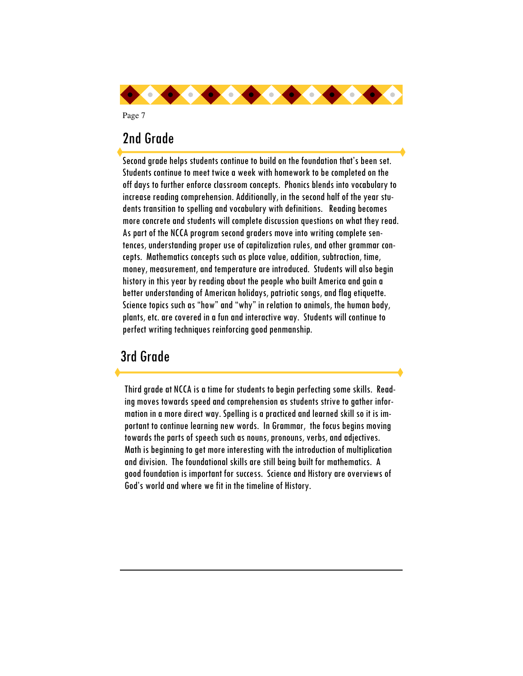

# 2nd Grade

Second grade helps students continue to build on the foundation that's been set. Students continue to meet twice a week with homework to be completed on the off days to further enforce classroom concepts. Phonics blends into vocabulary to increase reading comprehension. Additionally, in the second half of the year students transition to spelling and vocabulary with definitions. Reading becomes more concrete and students will complete discussion questions on what they read. As part of the NCCA program second graders move into writing complete sentences, understanding proper use of capitalization rules, and other grammar concepts. Mathematics concepts such as place value, addition, subtraction, time, money, measurement, and temperature are introduced. Students will also begin history in this year by reading about the people who built America and gain a better understanding of American holidays, patriotic songs, and flag etiquette. Science topics such as "how" and "why" in relation to animals, the human body, plants, etc. are covered in a fun and interactive way. Students will continue to perfect writing techniques reinforcing good penmanship.

# 3rd Grade

Third grade at NCCA is a time for students to begin perfecting some skills. Reading moves towards speed and comprehension as students strive to gather information in a more direct way. Spelling is a practiced and learned skill so it is important to continue learning new words. In Grammar, the focus begins moving towards the parts of speech such as nouns, pronouns, verbs, and adjectives. Math is beginning to get more interesting with the introduction of multiplication and division. The foundational skills are still being built for mathematics. A good foundation is important for success. Science and History are overviews of God's world and where we fit in the timeline of History.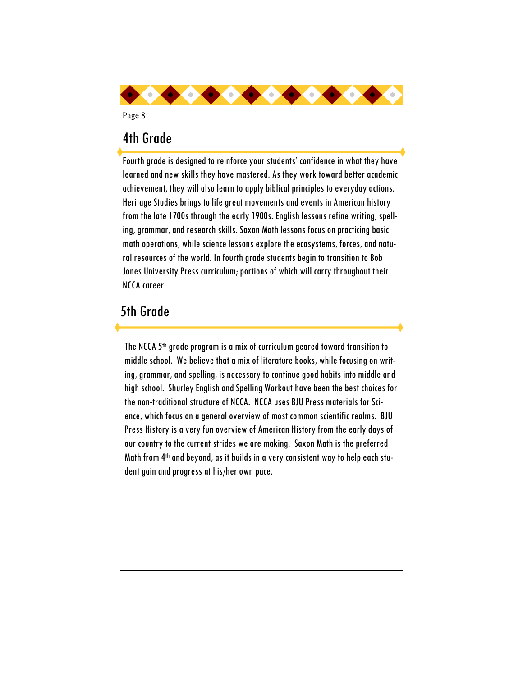

# 4th Grade

Page 8

Fourth grade is designed to reinforce your students' confidence in what they have learned and new skills they have mastered. As they work toward better academic achievement, they will also learn to apply biblical principles to everyday actions. Heritage Studies brings to life great movements and events in American history from the late 1700s through the early 1900s. English lessons refine writing, spelling, grammar, and research skills. Saxon Math lessons focus on practicing basic math operations, while science lessons explore the ecosystems, forces, and natural resources of the world. In fourth grade students begin to transition to Bob Jones University Press curriculum; portions of which will carry throughout their NCCA career.

# 5th Grade

The NCCA 5th grade program is a mix of curriculum geared toward transition to middle school. We believe that a mix of literature books, while focusing on writing, grammar, and spelling, is necessary to continue good habits into middle and high school. Shurley English and Spelling Workout have been the best choices for the non-traditional structure of NCCA. NCCA uses BJU Press materials for Science, which focus on a general overview of most common scientific realms. BJU Press History is a very fun overview of American History from the early days of our country to the current strides we are making. Saxon Math is the preferred Math from 4th and beyond, as it builds in a very consistent way to help each student gain and progress at his/her own pace.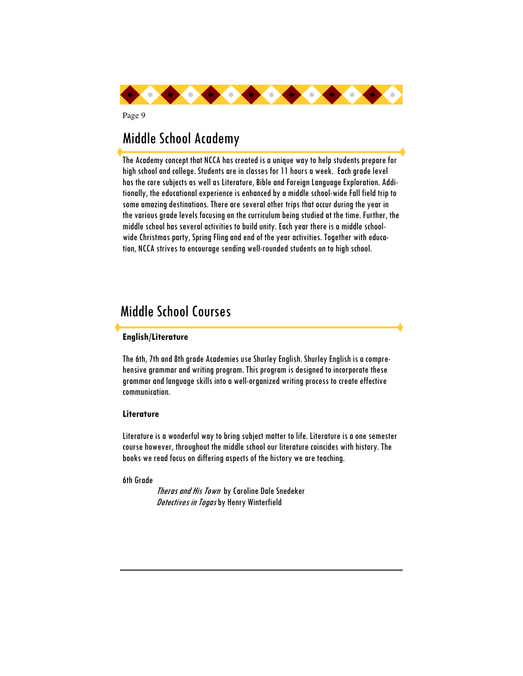

# Middle School Academy

The Academy concept that NCCA has created is a unique way to help students prepare for high school and college. Students are in classes for 11 hours a week. Each grade level has the core subjects as well as Literature, Bible and Foreign Language Exploration. Additionally, the educational experience is enhanced by a middle school-wide Fall field trip to some amazing destinations. There are several other trips that occur during the year in the various grade levels focusing on the curriculum being studied at the time. Further, the middle school has several activities to build unity. Each year there is a middle schoolwide Christmas party, Spring Fling and end of the year activities. Together with education, NCCA strives to encourage sending well-rounded students on to high school.

# Middle School Courses

## **English/Literature**

The 6th, 7th and 8th grade Academies use Shurley English. Shurley English is a comprehensive grammar and writing program. This program is designed to incorporate these grammar and language skills into a well-organized writing process to create effective communication.

#### **Literature**

Literature is a wonderful way to bring subject matter to life. Literature is a one semester course however, throughout the middle school our literature coincides with history. The books we read focus on differing aspects of the history we are teaching.

6th Grade

Theras and His Town by Caroline Dale Snedeker Detectives in Togas by Henry Winterfield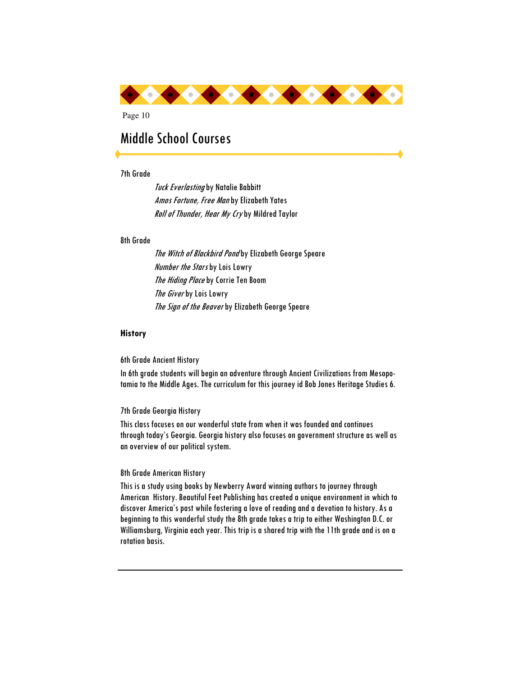

# Middle School Courses

#### 7th Grade

**Tuck Everlasting by Natalie Babbitt** Amos Fortune, Free Man by Elizabeth Yates Roll of Thunder, Hear My Cryby Mildred Taylor

#### 8th Grade

The Witch of Blackbird Pondby Elizabeth George Speare **Number the Stars by Lois Lowry** The Hiding Place by Corrie Ten Boom The Giver by Lois Lowry The Sign of the Beaver by Elizabeth George Speare

#### **History**

6th Grade Ancient History

In 6th grade students will begin an adventure through Ancient Civilizations from Mesopotamia to the Middle Ages. The curriculum for this journey id Bob Jones Heritage Studies 6.

#### 7th Grade Georgia History

This class focuses on our wonderful state from when it was founded and continues through today's Georgia. Georgia history also focuses on government structure as well as an overview of our political system.

#### 8th Grade American History

This is a study using books by Newberry Award winning authors to journey through American History. Beautiful Feet Publishing has created a unique environment in which to discover America's past while fostering a love of reading and a devotion to history. As a beginning to this wonderful study the 8th grade takes a trip to either Washington D.C. or Williamsburg, Virginia each year. This trip is a shared trip with the 11th grade and is on a rotation basis.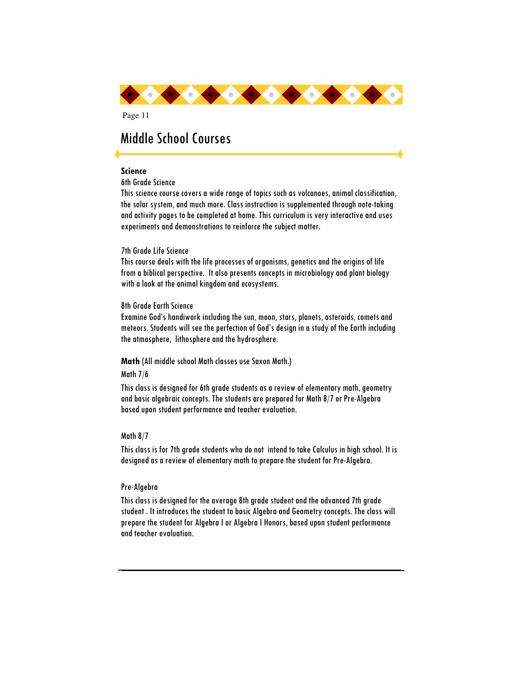

# Middle School Courses

### **Science**

6th Grade Science

This science course covers a wide range of topics such as volcanoes, animal classification, the solar system, and much more. Class instruction is supplemented through note-taking and activity pages to be completed at home. This curriculum is very interactive and uses experiments and demonstrations to reinforce the subject matter.

### 7th Grade Life Science

This course deals with the life processes of organisms, genetics and the origins of life from a biblical perspective. It also presents concepts in microbiology and plant biology with a look at the animal kingdom and ecosystems.

### 8th Grade Earth Science

Examine God's handiwork including the sun, moon, stars, planets, asteroids, comets and meteors. Students will see the perfection of God's design in a study of the Earth including the atmosphere, lithosphere and the hydrosphere.

#### **Math** (All middle school Math classes use Saxon Math.)

#### Math 7/6

This class is designed for 6th grade students as a review of elementary math, geometry and basic algebraic concepts. The students are prepared for Math 8/7 or Pre-Algebra based upon student performance and teacher evaluation.

### Math 8/7

This class is for 7th grade students who do not intend to take Calculus in high school. It is designed as a review of elementary math to prepare the student for Pre-Algebra.

### Pre-Algebra

This class is designed for the average 8th grade student and the advanced 7th grade student . It introduces the student to basic Algebra and Geometry concepts. The class will prepare the student for Algebra I or Algebra I Honors, based upon student performance and teacher evaluation.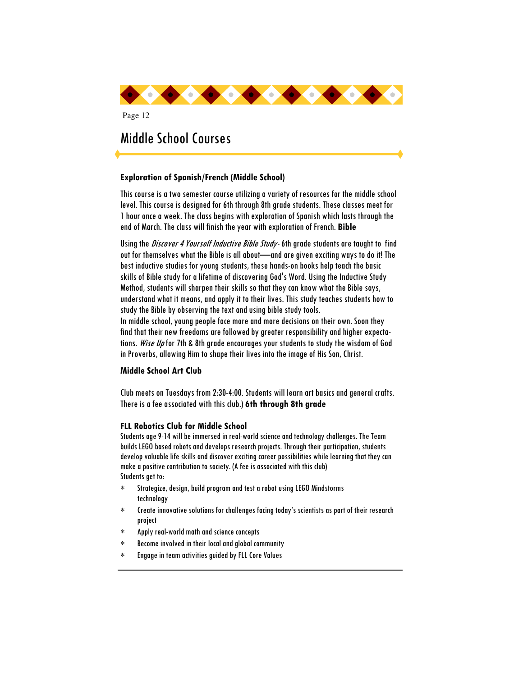

# Middle School Courses

### **Exploration of Spanish/French (Middle School)**

This course is a two semester course utilizing a variety of resources for the middle school level. This course is designed for 6th through 8th grade students. These classes meet for 1 hour once a week. The class begins with exploration of Spanish which lasts through the end of March. The class will finish the year with exploration of French. **Bible** 

Using the *Discover 4 Yourself Inductive Bible Study*-6th grade students are taught to find out for themselves what the Bible is all about—and are given exciting ways to do it! The best inductive studies for young students, these hands-on books help teach the basic skills of Bible study for a lifetime of discovering God's Word. Using the Inductive Study Method, students will sharpen their skills so that they can know what the Bible says, understand what it means, and apply it to their lives. This study teaches students how to study the Bible by observing the text and using bible study tools.

In middle school, young people face more and more decisions on their own. Soon they find that their new freedoms are followed by greater responsibility and higher expectations. Wise Up for 7th & 8th grade encourages your students to study the wisdom of God in Proverbs, allowing Him to shape their lives into the image of His Son, Christ.

### **Middle School Art Club**

Club meets on Tuesdays from 2:30-4:00. Students will learn art basics and general crafts. There is a fee associated with this club.) **6th through 8th grade** 

### **FLL Robotics Club for Middle School**

Students age 9-14 will be immersed in real-world science and technology challenges. The Team builds LEGO based robots and develops research projects. Through their participation, students develop valuable life skills and discover exciting career possibilities while learning that they can make a positive contribution to society. (A fee is associated with this club) Students get to:

- ∗ Strategize, design, build program and test a robot using LEGO Mindstorms technology
- ∗ Create innovative solutions for challenges facing today's scientists as part of their research project
- ∗ Apply real-world math and science concepts
- ∗ Become involved in their local and global community
- ∗ Engage in team activities guided by FLL Core Values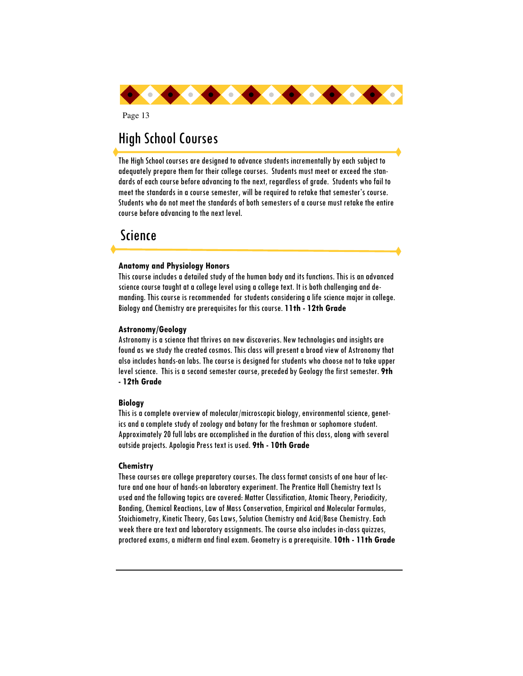

# High School Courses

The High School courses are designed to advance students incrementally by each subject to adequately prepare them for their college courses. Students must meet or exceed the standards of each course before advancing to the next, regardless of grade. Students who fail to meet the standards in a course semester, will be required to retake that semester's course. Students who do not meet the standards of both semesters of a course must retake the entire course before advancing to the next level.

# Science

#### **Anatomy and Physiology Honors**

This course includes a detailed study of the human body and its functions. This is an advanced science course taught at a college level using a college text. It is both challenging and demanding. This course is recommended for students considering a life science major in college. Biology and Chemistry are prerequisites for this course. **11th - 12th Grade** 

#### **Astronomy/Geology**

Astronomy is a science that thrives on new discoveries. New technologies and insights are found as we study the created cosmos. This class will present a broad view of Astronomy that also includes hands-on labs. The course is designed for students who choose not to take upper level science. This is a second semester course, preceded by Geology the first semester. **9th - 12th Grade**

#### **Biology**

This is a complete overview of molecular/microscopic biology, environmental science, genetics and a complete study of zoology and botany for the freshman or sophomore student. Approximately 20 full labs are accomplished in the duration of this class, along with several outside projects. Apologia Press text is used. **9th - 10th Grade** 

#### **Chemistry**

These courses are college preparatory courses. The class format consists of one hour of lecture and one hour of hands-on laboratory experiment. The Prentice Hall Chemistry text Is used and the following topics are covered: Matter Classification, Atomic Theory, Periodicity, Bonding, Chemical Reactions, Law of Mass Conservation, Empirical and Molecular Formulas, Stoichiometry, Kinetic Theory, Gas Laws, Solution Chemistry and Acid/Base Chemistry. Each week there are text and laboratory assignments. The course also includes in-class quizzes, proctored exams, a midterm and final exam. Geometry is a prerequisite. **10th - 11th Grade**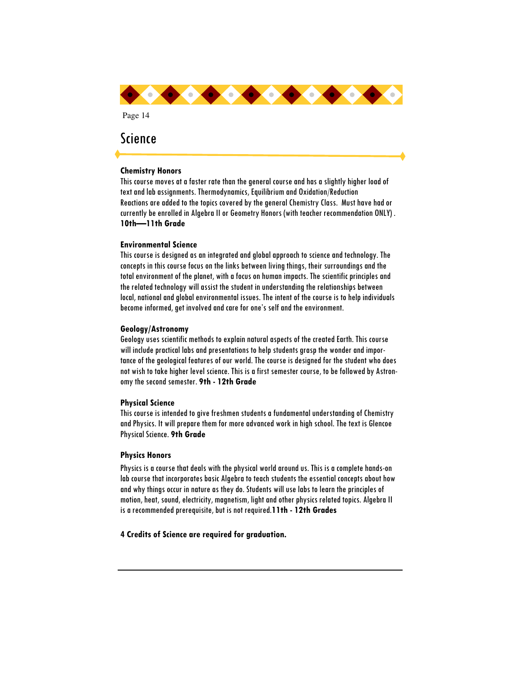

# Science

#### **Chemistry Honors**

This course moves at a faster rate than the general course and has a slightly higher load of text and lab assignments. Thermodynamics, Equilibrium and Oxidation/Reduction Reactions are added to the topics covered by the general Chemistry Class. Must have had or currently be enrolled in Algebra II or Geometry Honors (with teacher recommendation ONLY) . **10th—11th Grade** 

#### **Environmental Science**

This course is designed as an integrated and global approach to science and technology. The concepts in this course focus on the links between living things, their surroundings and the total environment of the planet, with a focus on human impacts. The scientific principles and the related technology will assist the student in understanding the relationships between local, national and global environmental issues. The intent of the course is to help individuals become informed, get involved and care for one's self and the environment.

#### **Geology/Astronomy**

Geology uses scientific methods to explain natural aspects of the created Earth. This course will include practical labs and presentations to help students grasp the wonder and importance of the geological features of our world. The course is designed for the student who does not wish to take higher level science. This is a first semester course, to be followed by Astronomy the second semester. **9th - 12th Grade** 

#### **Physical Science**

This course is intended to give freshmen students a fundamental understanding of Chemistry and Physics. It will prepare them for more advanced work in high school. The text is Glencoe Physical Science. **9th Grade** 

#### **Physics Honors**

Physics is a course that deals with the physical world around us. This is a complete hands-on lab course that incorporates basic Algebra to teach students the essential concepts about how and why things occur in nature as they do. Students will use labs to learn the principles of motion, heat, sound, electricity, magnetism, light and other physics related topics. Algebra II is a recommended prerequisite, but is not required.**11th - 12th Grades** 

#### **4 Credits of Science are required for graduation.**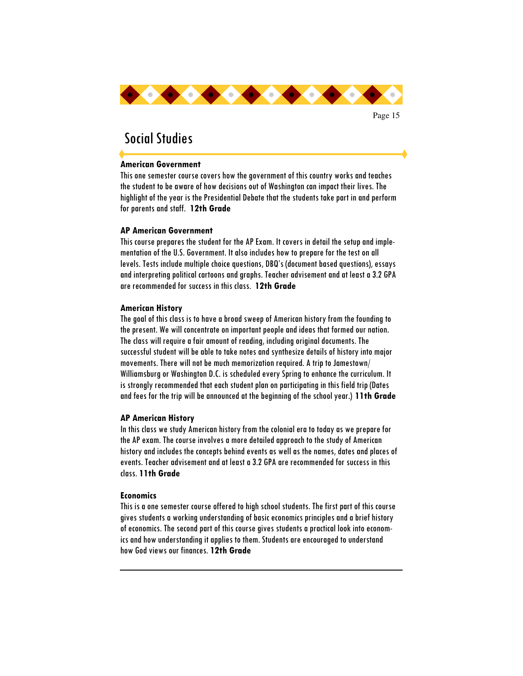

# Social Studies

### **American Government**

This one semester course covers how the government of this country works and teaches the student to be aware of how decisions out of Washington can impact their lives. The highlight of the year is the Presidential Debate that the students take part in and perform for parents and staff. **12th Grade** 

### **AP American Government**

This course prepares the student for the AP Exam. It covers in detail the setup and implementation of the U.S. Government. It also includes how to prepare for the test on all levels. Tests include multiple choice questions, DBQ's (document based questions), essays and interpreting political cartoons and graphs. Teacher advisement and at least a 3.2 GPA are recommended for success in this class. **12th Grade** 

### **American History**

The goal of this class is to have a broad sweep of American history from the founding to the present. We will concentrate on important people and ideas that formed our nation. The class will require a fair amount of reading, including original documents. The successful student will be able to take notes and synthesize details of history into major movements. There will not be much memorization required. A trip to Jamestown/ Williamsburg or Washington D.C. is scheduled every Spring to enhance the curriculum. It is strongly recommended that each student plan on participating in this field trip (Dates and fees for the trip will be announced at the beginning of the school year.) **11th Grade** 

#### **AP American History**

In this class we study American history from the colonial era to today as we prepare for the AP exam. The course involves a more detailed approach to the study of American history and includes the concepts behind events as well as the names, dates and places of events. Teacher advisement and at least a 3.2 GPA are recommended for success in this class. **11th Grade** 

#### **Economics**

This is a one semester course offered to high school students. The first part of this course gives students a working understanding of basic economics principles and a brief history of economics. The second part of this course gives students a practical look into economics and how understanding it applies to them. Students are encouraged to understand how God views our finances. **12th Grade**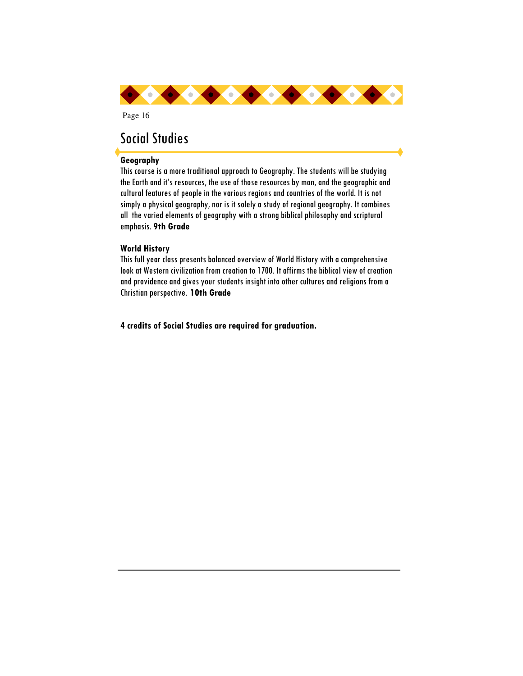

# Social Studies

### **Geography**

This course is a more traditional approach to Geography. The students will be studying the Earth and it's resources, the use of those resources by man, and the geographic and cultural features of people in the various regions and countries of the world. It is not simply a physical geography, nor is it solely a study of regional geography. It combines all the varied elements of geography with a strong biblical philosophy and scriptural emphasis. **9th Grade**

### **World History**

This full year class presents balanced overview of World History with a comprehensive look at Western civilization from creation to 1700. It affirms the biblical view of creation and providence and gives your students insight into other cultures and religions from a Christian perspective. **10th Grade** 

**4 credits of Social Studies are required for graduation.**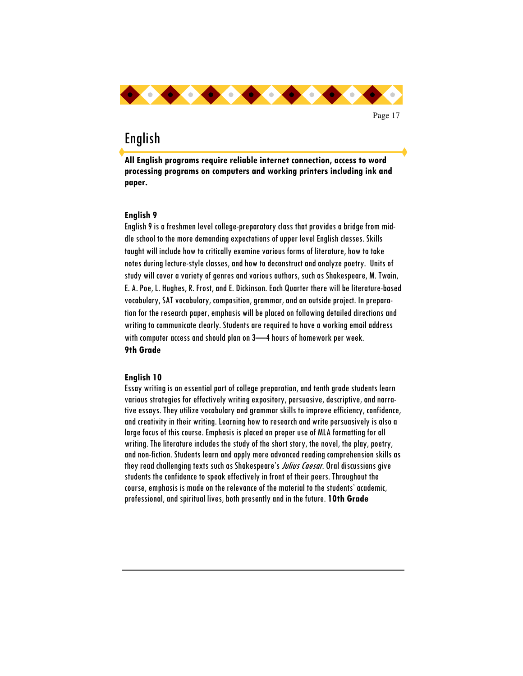

# English

**All English programs require reliable internet connection, access to word processing programs on computers and working printers including ink and paper.** 

### **English 9**

English 9 is a freshmen level college-preparatory class that provides a bridge from middle school to the more demanding expectations of upper level English classes. Skills taught will include how to critically examine various forms of literature, how to take notes during lecture-style classes, and how to deconstruct and analyze poetry. Units of study will cover a variety of genres and various authors, such as Shakespeare, M. Twain, E. A. Poe, L. Hughes, R. Frost, and E. Dickinson. Each Quarter there will be literature-based vocabulary, SAT vocabulary, composition, grammar, and an outside project. In preparation for the research paper, emphasis will be placed on following detailed directions and writing to communicate clearly. Students are required to have a working email address with computer access and should plan on 3—4 hours of homework per week. **9th Grade** 

#### **English 10**

Essay writing is an essential part of college preparation, and tenth grade students learn various strategies for effectively writing expository, persuasive, descriptive, and narrative essays. They utilize vocabulary and grammar skills to improve efficiency, confidence, and creativity in their writing. Learning how to research and write persuasively is also a large focus of this course. Emphasis is placed on proper use of MLA formatting for all writing. The literature includes the study of the short story, the novel, the play, poetry, and non-fiction. Students learn and apply more advanced reading comprehension skills as they read challenging texts such as Shakespeare's *Julius Caesar*. Oral discussions give students the confidence to speak effectively in front of their peers. Throughout the course, emphasis is made on the relevance of the material to the students' academic, professional, and spiritual lives, both presently and in the future. **10th Grade**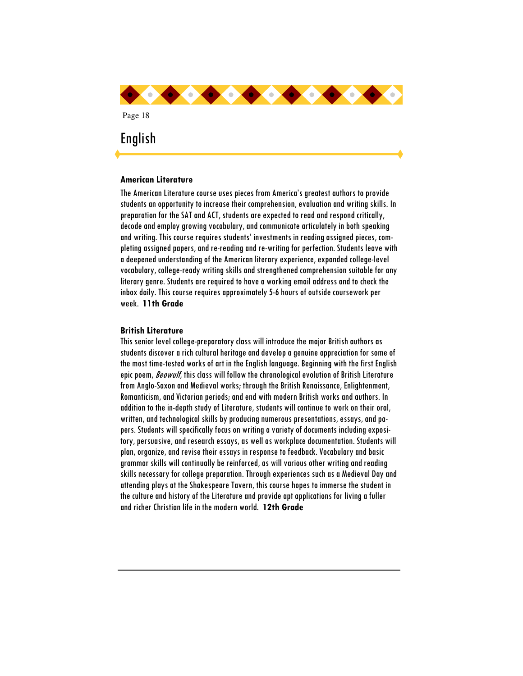

#### **American Literature**

The American Literature course uses pieces from America's greatest authors to provide students an opportunity to increase their comprehension, evaluation and writing skills. In preparation for the SAT and ACT, students are expected to read and respond critically, decode and employ growing vocabulary, and communicate articulately in both speaking and writing. This course requires students' investments in reading assigned pieces, completing assigned papers, and re-reading and re-writing for perfection. Students leave with a deepened understanding of the American literary experience, expanded college-level vocabulary, college-ready writing skills and strengthened comprehension suitable for any literary genre. Students are required to have a working email address and to check the inbox daily. This course requires approximately 5-6 hours of outside coursework per week. **11th Grade** 

#### **British Literature**

This senior level college-preparatory class will introduce the major British authors as students discover a rich cultural heritage and develop a genuine appreciation for some of the most time-tested works of art in the English language. Beginning with the first English epic poem, Beowulf, this class will follow the chronological evolution of British Literature from Anglo-Saxon and Medieval works; through the British Renaissance, Enlightenment, Romanticism, and Victorian periods; and end with modern British works and authors. In addition to the in-depth study of Literature, students will continue to work on their oral, written, and technological skills by producing numerous presentations, essays, and papers. Students will specifically focus on writing a variety of documents including expository, persuasive, and research essays, as well as workplace documentation. Students will plan, organize, and revise their essays in response to feedback. Vocabulary and basic grammar skills will continually be reinforced, as will various other writing and reading skills necessary for college preparation. Through experiences such as a Medieval Day and attending plays at the Shakespeare Tavern, this course hopes to immerse the student in the culture and history of the Literature and provide apt applications for living a fuller and richer Christian life in the modern world. **12th Grade**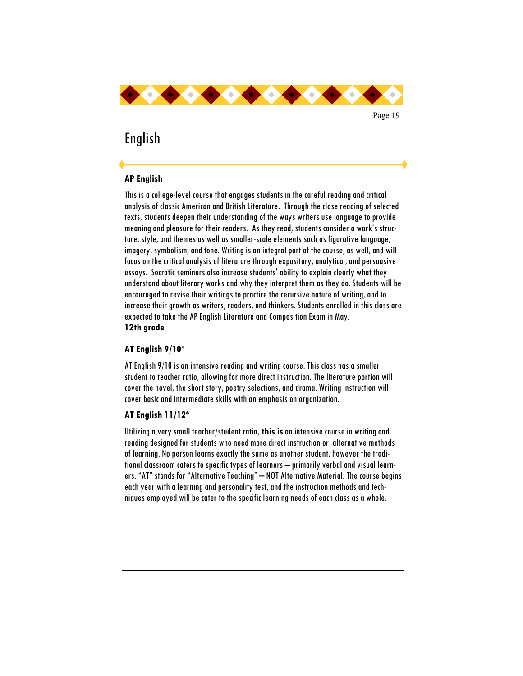

# English

## **AP English**

This is a college-level course that engages students in the careful reading and critical analysis of classic American and British Literature. Through the close reading of selected texts, students deepen their understanding of the ways writers use language to provide meaning and pleasure for their readers. As they read, students consider a work's structure, style, and themes as well as smaller-scale elements such as figurative language, imagery, symbolism, and tone. Writing is an integral part of the course, as well, and will focus on the critical analysis of literature through expository, analytical, and persuasive essays. Socratic seminars also increase students' ability to explain clearly what they understand about literary works and why they interpret them as they do. Students will be encouraged to revise their writings to practice the recursive nature of writing, and to increase their growth as writers, readers, and thinkers. Students enrolled in this class are expected to take the AP English Literature and Composition Exam in May. **12th grade** 

### **AT English 9/10\***

AT English 9/10 is an intensive reading and writing course. This class has a smaller student to teacher ratio, allowing for more direct instruction. The literature portion will cover the novel, the short story, poetry selections, and drama. Writing instruction will cover basic and intermediate skills with an emphasis on organization.

### **AT English 11/12\***

Utilizing a very small teacher/student ratio, **this is** an intensive course in writing and reading designed for students who need more direct instruction or alternative methods of learning. No person learns exactly the same as another student, however the traditional classroom caters to specific types of learners – primarily verbal and visual learners. "AT" stands for "Alternative Teaching" – NOT Alternative Material. The course begins each year with a learning and personality test, and the instruction methods and techniques employed will be cater to the specific learning needs of each class as a whole.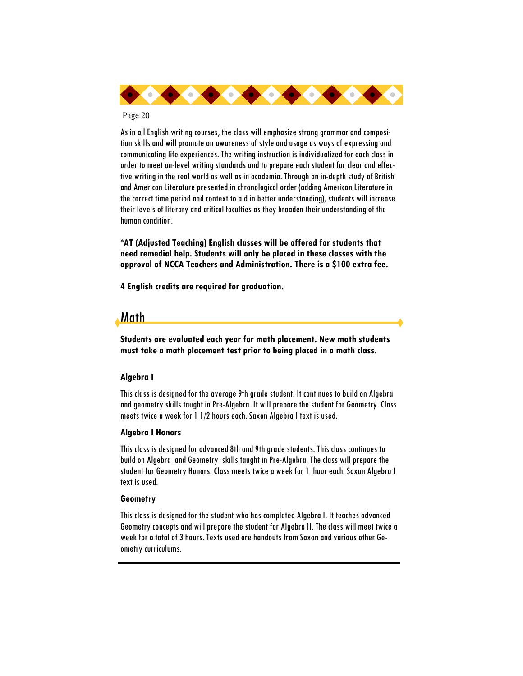

As in all English writing courses, the class will emphasize strong grammar and composition skills and will promote an awareness of style and usage as ways of expressing and communicating life experiences. The writing instruction is individualized for each class in order to meet on-level writing standards and to prepare each student for clear and effective writing in the real world as well as in academia. Through an in-depth study of British and American Literature presented in chronological order (adding American Literature in the correct time period and context to aid in better understanding), students will increase their levels of literary and critical faculties as they broaden their understanding of the human condition.

**\*AT (Adjusted Teaching) English classes will be offered for students that need remedial help. Students will only be placed in these classes with the approval of NCCA Teachers and Administration. There is a \$100 extra fee.**

**4 English credits are required for graduation.** 

# Math

**Students are evaluated each year for math placement. New math students must take a math placement test prior to being placed in a math class.** 

### **Algebra I**

This class is designed for the average 9th grade student. It continues to build on Algebra and geometry skills taught in Pre-Algebra. It will prepare the student for Geometry. Class meets twice a week for 1 1/2 hours each. Saxon Algebra I text is used.

#### **Algebra I Honors**

This class is designed for advanced 8th and 9th grade students. This class continues to build on Algebra and Geometry skills taught in Pre-Algebra. The class will prepare the student for Geometry Honors. Class meets twice a week for 1 hour each. Saxon Algebra I text is used.

#### **Geometry**

This class is designed for the student who has completed Algebra I. It teaches advanced Geometry concepts and will prepare the student for Algebra II. The class will meet twice a week for a total of 3 hours. Texts used are handouts from Saxon and various other Geometry curriculums.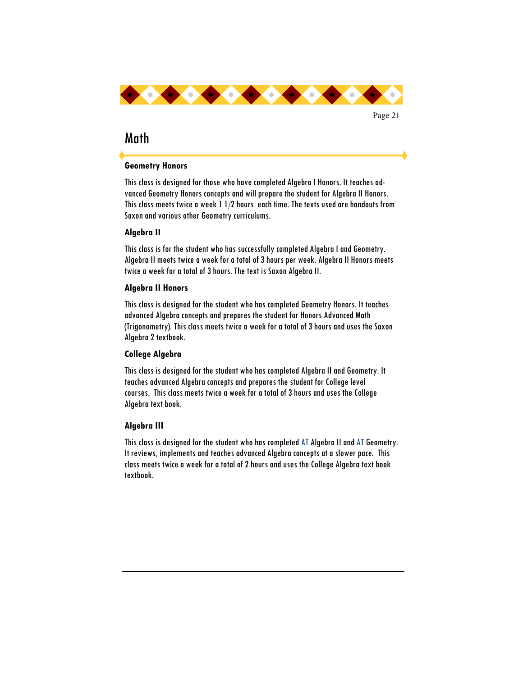

# Math

### **Geometry Honors**

This class is designed for those who have completed Algebra I Honors. It teaches advanced Geometry Honors concepts and will prepare the student for Algebra II Honors. This class meets twice a week 1 1/2 hours each time. The texts used are handouts from Saxon and various other Geometry curriculums.

### **Algebra II**

This class is for the student who has successfully completed Algebra I and Geometry. Algebra II meets twice a week for a total of 3 hours per week. Algebra II Honors meets twice a week for a total of 3 hours. The text is Saxon Algebra II.

## **Algebra II Honors**

This class is designed for the student who has completed Geometry Honors. It teaches advanced Algebra concepts and prepares the student for Honors Advanced Math (Trigonometry). This class meets twice a week for a total of 3 hours and uses the Saxon Algebra 2 textbook.

# **College Algebra**

This class is designed for the student who has completed Algebra II and Geometry. It teaches advanced Algebra concepts and prepares the student for College level courses. This class meets twice a week for a total of 3 hours and uses the College Algebra text book.

# **Algebra III**

This class is designed for the student who has completed AT Algebra II and AT Geometry. It reviews, implements and teaches advanced Algebra concepts at a slower pace. This class meets twice a week for a total of 2 hours and uses the College Algebra text book textbook.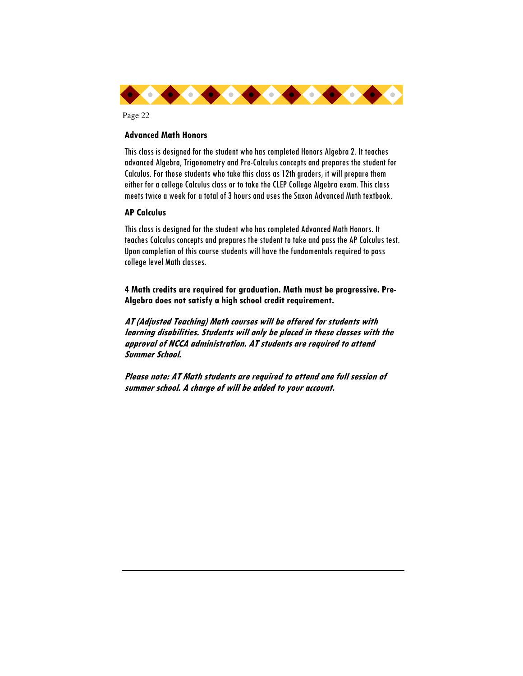

#### **Advanced Math Honors**

This class is designed for the student who has completed Honors Algebra 2. It teaches advanced Algebra, Trigonometry and Pre-Calculus concepts and prepares the student for Calculus. For those students who take this class as 12th graders, it will prepare them either for a college Calculus class or to take the CLEP College Algebra exam. This class meets twice a week for a total of 3 hours and uses the Saxon Advanced Math textbook.

#### **AP Calculus**

This class is designed for the student who has completed Advanced Math Honors. It teaches Calculus concepts and prepares the student to take and pass the AP Calculus test. Upon completion of this course students will have the fundamentals required to pass college level Math classes.

**4 Math credits are required for graduation. Math must be progressive. Pre-Algebra does not satisfy a high school credit requirement.** 

**AT (Adjusted Teaching) Math courses will be offered for students with learning disabilities. Students will only be placed in these classes with the approval of NCCA administration. AT students are required to attend Summer School.** 

**Please note: AT Math students are required to attend one full session of summer school. A charge of will be added to your account.**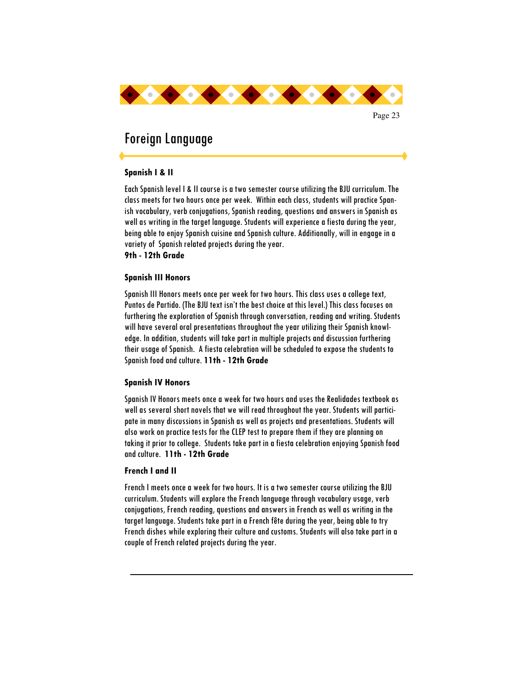

# Foreign Language

### **Spanish I & II**

Each Spanish level I & II course is a two semester course utilizing the BJU curriculum. The class meets for two hours once per week. Within each class, students will practice Spanish vocabulary, verb conjugations, Spanish reading, questions and answers in Spanish as well as writing in the target language. Students will experience a fiesta during the year, being able to enjoy Spanish cuisine and Spanish culture. Additionally, will in engage in a variety of Spanish related projects during the year.

**9th - 12th Grade** 

#### **Spanish III Honors**

Spanish III Honors meets once per week for two hours. This class uses a college text, Puntos de Partido. (The BJU text isn't the best choice at this level.) This class focuses on furthering the exploration of Spanish through conversation, reading and writing. Students will have several oral presentations throughout the year utilizing their Spanish knowledge. In addition, students will take part in multiple projects and discussion furthering their usage of Spanish. A fiesta celebration will be scheduled to expose the students to Spanish food and culture. **11th - 12th Grade** 

#### **Spanish IV Honors**

Spanish IV Honors meets once a week for two hours and uses the Realidades textbook as well as several short novels that we will read throughout the year. Students will participate in many discussions in Spanish as well as projects and presentations. Students will also work on practice tests for the CLEP test to prepare them if they are planning on taking it prior to college. Students take part in a fiesta celebration enjoying Spanish food and culture. **11th - 12th Grade** 

#### **French I and II**

French I meets once a week for two hours. It is a two semester course utilizing the BJU curriculum. Students will explore the French language through vocabulary usage, verb conjugations, French reading, questions and answers in French as well as writing in the target language. Students take part in a French fête during the year, being able to try French dishes while exploring their culture and customs. Students will also take part in a couple of French related projects during the year.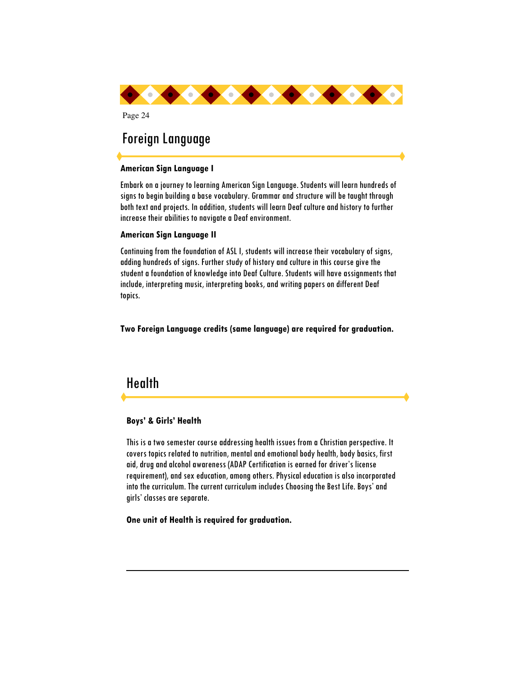

# Foreign Language

### **American Sign Language I**

Embark on a journey to learning American Sign Language. Students will learn hundreds of signs to begin building a base vocabulary. Grammar and structure will be taught through both text and projects. In addition, students will learn Deaf culture and history to further increase their abilities to navigate a Deaf environment.

### **American Sign Language II**

Continuing from the foundation of ASL I, students will increase their vocabulary of signs, adding hundreds of signs. Further study of history and culture in this course give the student a foundation of knowledge into Deaf Culture. Students will have assignments that include, interpreting music, interpreting books, and writing papers on different Deaf topics.

**Two Foreign Language credits (same language) are required for graduation.** 

# Health

### **Boys' & Girls' Health**

This is a two semester course addressing health issues from a Christian perspective. It covers topics related to nutrition, mental and emotional body health, body basics, first aid, drug and alcohol awareness (ADAP Certification is earned for driver's license requirement), and sex education, among others. Physical education is also incorporated into the curriculum. The current curriculum includes Choosing the Best Life. Boys' and girls' classes are separate.

**One unit of Health is required for graduation.**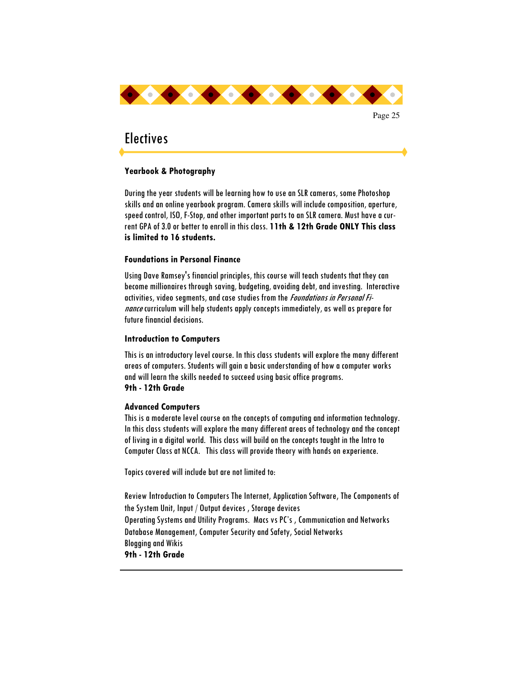

# **Electives**

### **Yearbook & Photography**

During the year students will be learning how to use an SLR cameras, some Photoshop skills and an online yearbook program. Camera skills will include composition, aperture, speed control, ISO, F-Stop, and other important parts to an SLR camera. Must have a current GPA of 3.0 or better to enroll in this class. **11th & 12th Grade ONLY This class is limited to 16 students.** 

### **Foundations in Personal Finance**

Using Dave Ramsey's financial principles, this course will teach students that they can become millionaires through saving, budgeting, avoiding debt, and investing. Interactive activities, video segments, and case studies from the *Foundations in Personal Fi*nance curriculum will help students apply concepts immediately, as well as prepare for future financial decisions.

### **Introduction to Computers**

This is an introductory level course. In this class students will explore the many different areas of computers. Students will gain a basic understanding of how a computer works and will learn the skills needed to succeed using basic office programs. **9th - 12th Grade** 

### **Advanced Computers**

This is a moderate level course on the concepts of computing and information technology. In this class students will explore the many different areas of technology and the concept of living in a digital world. This class will build on the concepts taught in the Intro to Computer Class at NCCA. This class will provide theory with hands on experience.

Topics covered will include but are not limited to:

Review Introduction to Computers The Internet, Application Software, The Components of the System Unit, Input / Output devices , Storage devices Operating Systems and Utility Programs. Macs vs PC's , Communication and Networks Database Management, Computer Security and Safety, Social Networks Blogging and Wikis **9th - 12th Grade**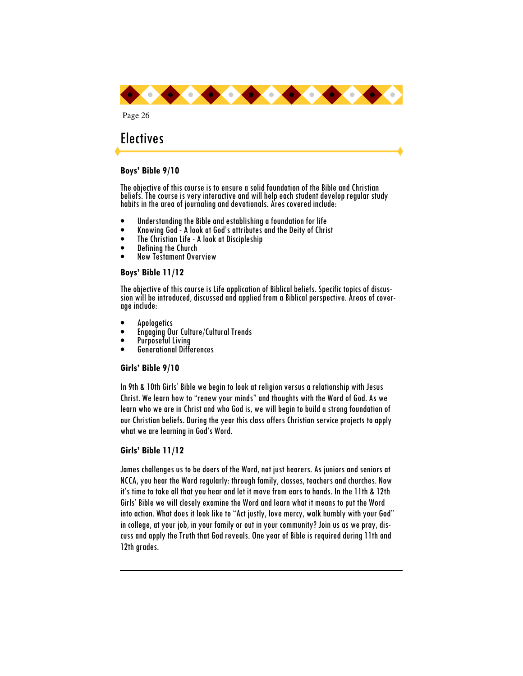

# **Electives**

#### **Boys' Bible 9/10**

The objective of this course is to ensure a solid foundation of the Bible and Christian beliefs. The course is very interactive and will help each student develop regular study habits in the area of journaling and devotionals. Ares covered include:

- Understanding the Bible and establishing a foundation for life
- Knowing God A look at God's attributes and the Deity of Christ
- The Christian Life A look at Discipleship
- Defining the Church
- New Testament Overview

### **Boys' Bible 11/12**

The objective of this course is Life application of Biblical beliefs. Specific topics of discussion will be introduced, discussed and applied from a Biblical perspective. Areas of coverage include:

- Apologetics
- Engaging Our Culture/Cultural Trends
- Purposeful Living
- Generational Differences

#### **Girls' Bible 9/10**

In 9th & 10th Girls' Bible we begin to look at religion versus a relationship with Jesus Christ. We learn how to "renew your minds" and thoughts with the Word of God. As we learn who we are in Christ and who God is, we will begin to build a strong foundation of our Christian beliefs. During the year this class offers Christian service projects to apply what we are learning in God's Word.

### **Girls' Bible 11/12**

James challenges us to be doers of the Word, not just hearers. As juniors and seniors at NCCA, you hear the Word regularly: through family, classes, teachers and churches. Now it's time to take all that you hear and let it move from ears to hands. In the 11th & 12th Girls' Bible we will closely examine the Word and learn what it means to put the Word into action. What does it look like to "Act justly, love mercy, walk humbly with your God" in college, at your job, in your family or out in your community? Join us as we pray, discuss and apply the Truth that God reveals. One year of Bible is required during 11th and 12th grades.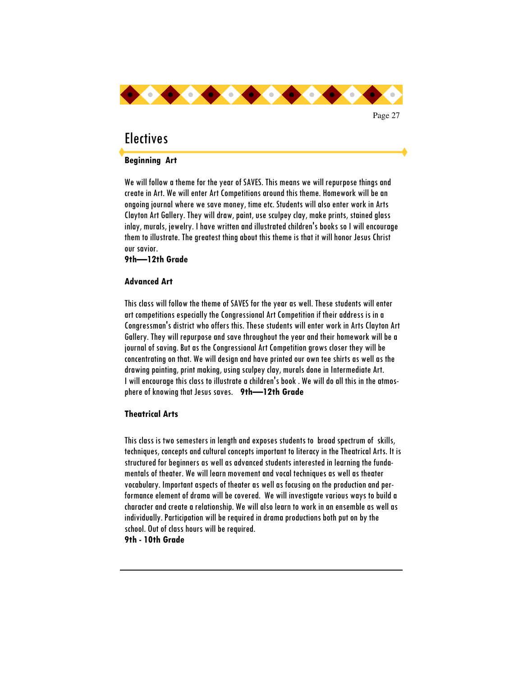

# **Flectives**

### **Beginning Art**

We will follow a theme for the year of SAVES. This means we will repurpose things and create in Art. We will enter Art Competitions around this theme. Homework will be an ongoing journal where we save money, time etc. Students will also enter work in Arts Clayton Art Gallery. They will draw, paint, use sculpey clay, make prints, stained glass inlay, murals, jewelry. I have written and illustrated children's books so I will encourage them to illustrate. The greatest thing about this theme is that it will honor Jesus Christ our savior.

**9th—12th Grade** 

#### **Advanced Art**

This class will follow the theme of SAVES for the year as well. These students will enter art competitions especially the Congressional Art Competition if their address is in a Congressman's district who offers this. These students will enter work in Arts Clayton Art Gallery. They will repurpose and save throughout the year and their homework will be a journal of saving. But as the Congressional Art Competition grows closer they will be concentrating on that. We will design and have printed our own tee shirts as well as the drawing painting, print making, using sculpey clay, murals done in Intermediate Art. I will encourage this class to illustrate a children's book . We will do all this in the atmosphere of knowing that Jesus saves. **9th—12th Grade** 

#### **Theatrical Arts**

This class is two semesters in length and exposes students to broad spectrum of skills, techniques, concepts and cultural concepts important to literacy in the Theatrical Arts. It is structured for beginners as well as advanced students interested in learning the fundamentals of theater. We will learn movement and vocal techniques as well as theater vocabulary. Important aspects of theater as well as focusing on the production and performance element of drama will be covered. We will investigate various ways to build a character and create a relationship. We will also learn to work in an ensemble as well as individually. Participation will be required in drama productions both put on by the school. Out of class hours will be required.

**9th - 10th Grade**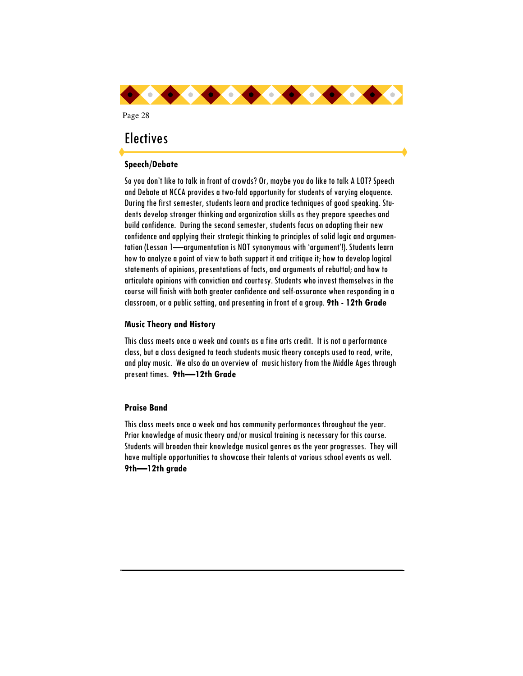

# **Electives**

## **Speech/Debate**

So you don't like to talk in front of crowds? Or, maybe you do like to talk A LOT? Speech and Debate at NCCA provides a two-fold opportunity for students of varying eloquence. During the first semester, students learn and practice techniques of good speaking. Students develop stronger thinking and organization skills as they prepare speeches and build confidence. During the second semester, students focus on adapting their new confidence and applying their strategic thinking to principles of solid logic and argumentation (Lesson 1—argumentation is NOT synonymous with 'argument'!). Students learn how to analyze a point of view to both support it and critique it; how to develop logical statements of opinions, presentations of facts, and arguments of rebuttal; and how to articulate opinions with conviction and courtesy. Students who invest themselves in the course will finish with both greater confidence and self-assurance when responding in a classroom, or a public setting, and presenting in front of a group. **9th - 12th Grade** 

### **Music Theory and History**

This class meets once a week and counts as a fine arts credit. It is not a performance class, but a class designed to teach students music theory concepts used to read, write, and play music. We also do an overview of music history from the Middle Ages through present times. **9th—12th Grade** 

### **Praise Band**

This class meets once a week and has community performances throughout the year. Prior knowledge of music theory and/or musical training is necessary for this course. Students will broaden their knowledge musical genres as the year progresses. They will have multiple opportunities to showcase their talents at various school events as well. **9th—12th grade**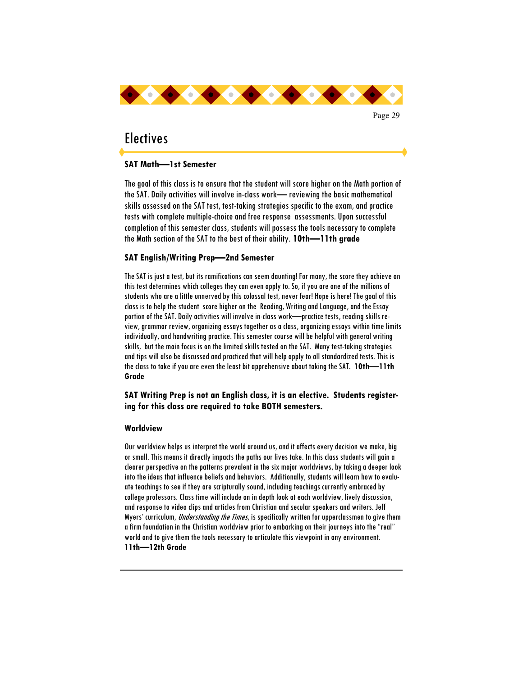

# **Electives**

### **SAT Math—1st Semester**

The goal of this class is to ensure that the student will score higher on the Math portion of the SAT. Daily activities will involve in-class work— reviewing the basic mathematical skills assessed on the SAT test, test-taking strategies specific to the exam, and practice tests with complete multiple-choice and free response assessments. Upon successful completion of this semester class, students will possess the tools necessary to complete the Math section of the SAT to the best of their ability. **10th—11th grade** 

#### **SAT English/Writing Prep—2nd Semester**

The SAT is just a test, but its ramifications can seem daunting! For many, the score they achieve on this test determines which colleges they can even apply to. So, if you are one of the millions of students who are a little unnerved by this colossal test, never fear! Hope is here! The goal of this class is to help the student score higher on the Reading, Writing and Language, and the Essay portion of the SAT. Daily activities will involve in-class work—practice tests, reading skills review, grammar review, organizing essays together as a class, organizing essays within time limits individually, and handwriting practice. This semester course will be helpful with general writing skills, but the main focus is on the limited skills tested on the SAT. Many test-taking strategies and tips will also be discussed and practiced that will help apply to all standardized tests. This is the class to take if you are even the least bit apprehensive about taking the SAT. **10th—11th Grade**

### **SAT Writing Prep is not an English class, it is an elective. Students registering for this class are required to take BOTH semesters.**

#### **Worldview**

Our worldview helps us interpret the world around us, and it affects every decision we make, big or small. This means it directly impacts the paths our lives take. In this class students will gain a clearer perspective on the patterns prevalent in the six major worldviews, by taking a deeper look into the ideas that influence beliefs and behaviors. Additionally, students will learn how to evaluate teachings to see if they are scripturally sound, including teachings currently embraced by college professors. Class time will include an in depth look at each worldview, lively discussion, and response to video clips and articles from Christian and secular speakers and writers. Jeff Myers' curriculum, Understanding the Times, is specifically written for upperclassmen to give them a firm foundation in the Christian worldview prior to embarking on their journeys into the "real" world and to give them the tools necessary to articulate this viewpoint in any environment. **11th—12th Grade**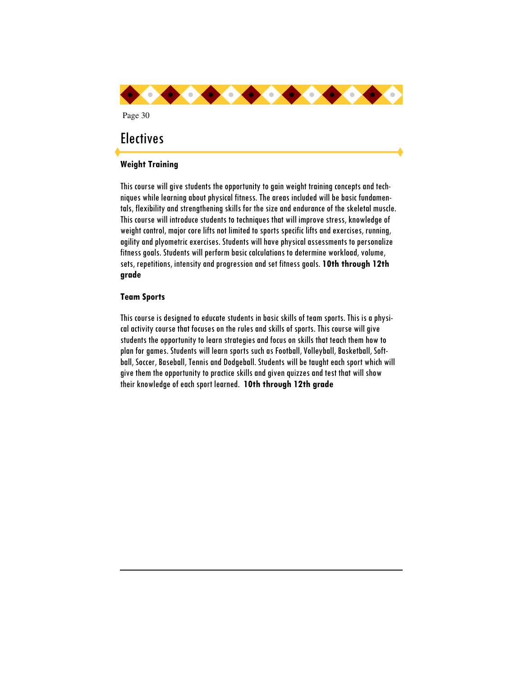

This course will give students the opportunity to gain weight training concepts and techniques while learning about physical fitness. The areas included will be basic fundamentals, flexibility and strengthening skills for the size and endurance of the skeletal muscle. This course will introduce students to techniques that will improve stress, knowledge of weight control, major core lifts not limited to sports specific lifts and exercises, running, agility and plyometric exercises. Students will have physical assessments to personalize fitness goals. Students will perform basic calculations to determine workload, volume, sets, repetitions, intensity and progression and set fitness goals. **10th through 12th grade** 

#### **Team Sports**

This course is designed to educate students in basic skills of team sports. This is a physical activity course that focuses on the rules and skills of sports. This course will give students the opportunity to learn strategies and focus on skills that teach them how to plan for games. Students will learn sports such as Football, Volleyball, Basketball, Softball, Soccer, Baseball, Tennis and Dodgeball. Students will be taught each sport which will give them the opportunity to practice skills and given quizzes and test that will show their knowledge of each sport learned. **10th through 12th grade**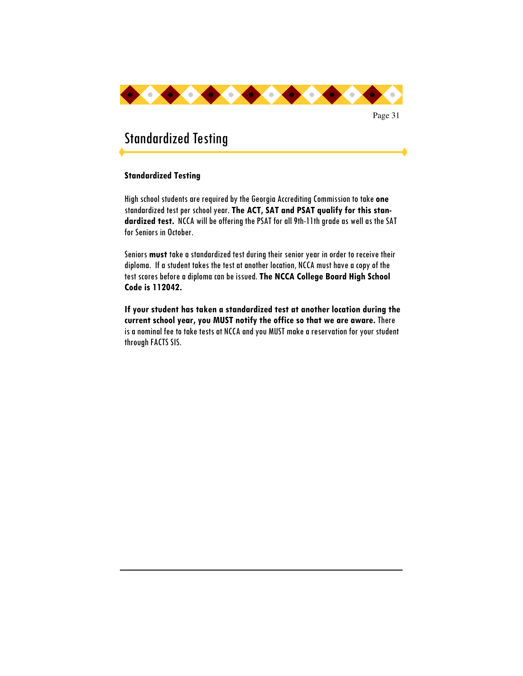

# Standardized Testing

### **Standardized Testing**

High school students are required by the Georgia Accrediting Commission to take **one** standardized test per school year. **The ACT, SAT and PSAT qualify for this standardized test.** NCCA will be offering the PSAT for all 9th-11th grade as well as the SAT for Seniors in October.

Seniors **must** take a standardized test during their senior year in order to receive their diploma. If a student takes the test at another location, NCCA must have a copy of the test scores before a diploma can be issued. **The NCCA College Board High School Code is 112042.**

**If your student has taken a standardized test at another location during the current school year, you MUST notify the office so that we are aware.** There is a nominal fee to take tests at NCCA and you MUST make a reservation for your student through FACTS SIS.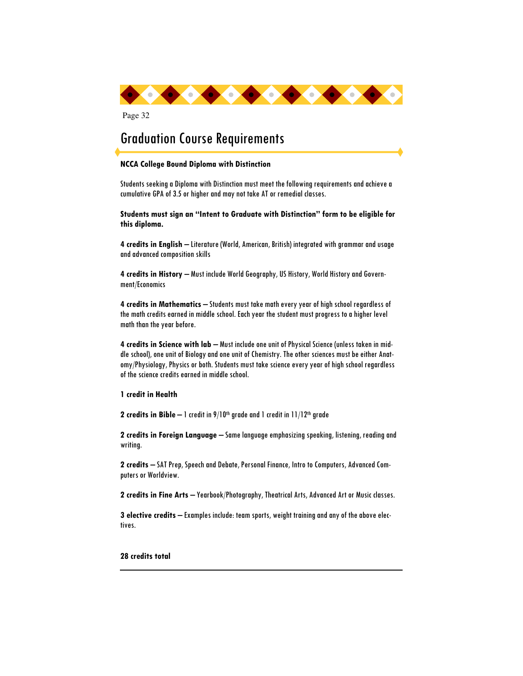

# Graduation Course Requirements

#### **NCCA College Bound Diploma with Distinction**

Students seeking a Diploma with Distinction must meet the following requirements and achieve a cumulative GPA of 3.5 or higher and may not take AT or remedial classes.

**Students must sign an "Intent to Graduate with Distinction" form to be eligible for this diploma.** 

**4 credits in English** – Literature (World, American, British) integrated with grammar and usage and advanced composition skills

**4 credits in History** – Must include World Geography, US History, World History and Government/Economics

**4 credits in Mathematics** – Students must take math every year of high school regardless of the math credits earned in middle school. Each year the student must progress to a higher level math than the year before.

**4 credits in Science with lab** – Must include one unit of Physical Science (unless taken in middle school), one unit of Biology and one unit of Chemistry. The other sciences must be either Anatomy/Physiology, Physics or both. Students must take science every year of high school regardless of the science credits earned in middle school.

**1 credit in Health** 

**2 credits in Bible** – 1 credit in 9/10<sup>th</sup> grade and 1 credit in 11/12<sup>th</sup> grade

**2 credits in Foreign Language** – Same language emphasizing speaking, listening, reading and writing.

**2 credits** – SAT Prep, Speech and Debate, Personal Finance, Intro to Computers, Advanced Computers or Worldview.

**2 credits in Fine Arts** – Yearbook/Photography, Theatrical Arts, Advanced Art or Music classes.

**3 elective credits** – Examples include: team sports, weight training and any of the above electives.

**28 credits total**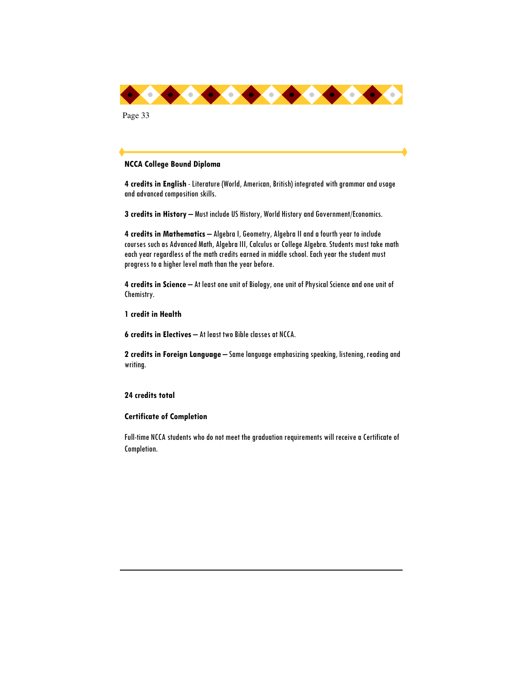

#### **NCCA College Bound Diploma**

**4 credits in English** - Literature (World, American, British) integrated with grammar and usage and advanced composition skills.

**3 credits in History** – Must include US History, World History and Government/Economics.

**4 credits in Mathematics** – Algebra I, Geometry, Algebra II and a fourth year to include courses such as Advanced Math, Algebra III, Calculus or College Algebra. Students must take math each year regardless of the math credits earned in middle school. Each year the student must progress to a higher level math than the year before.

**4 credits in Science** – At least one unit of Biology, one unit of Physical Science and one unit of Chemistry.

**1 credit in Health** 

**6 credits in Electives** – At least two Bible classes at NCCA.

**2 credits in Foreign Language** – Same language emphasizing speaking, listening, reading and writing.

#### **24 credits total**

#### **Certificate of Completion**

Full-time NCCA students who do not meet the graduation requirements will receive a Certificate of Completion.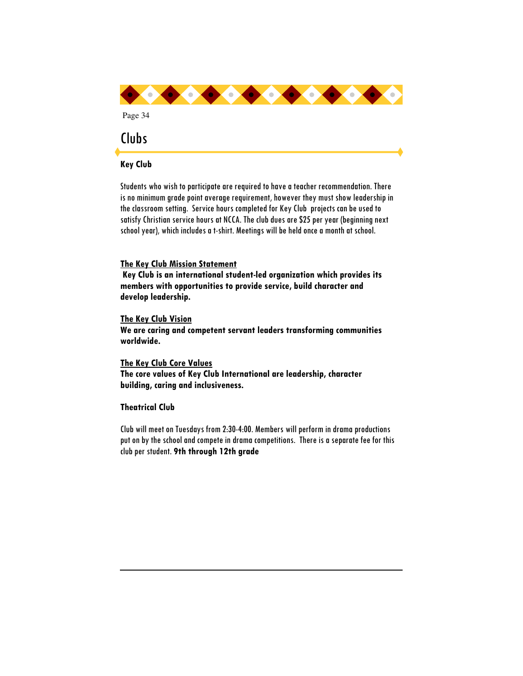

### **Key Club**

Students who wish to participate are required to have a teacher recommendation. There is no minimum grade point average requirement, however they must show leadership in the classroom setting. Service hours completed for Key Club projects can be used to satisfy Christian service hours at NCCA. The club dues are \$25 per year (beginning next school year), which includes a t-shirt. Meetings will be held once a month at school.

#### **The Key Club Mission Statement**

 **Key Club is an international student-led organization which provides its members with opportunities to provide service, build character and develop leadership.** 

#### **The Key Club Vision**

**We are caring and competent servant leaders transforming communities worldwide.** 

**The Key Club Core Values The core values of Key Club International are leadership, character building, caring and inclusiveness.** 

### **Theatrical Club**

Club will meet on Tuesdays from 2:30-4:00. Members will perform in drama productions put on by the school and compete in drama competitions. There is a separate fee for this club per student. **9th through 12th grade**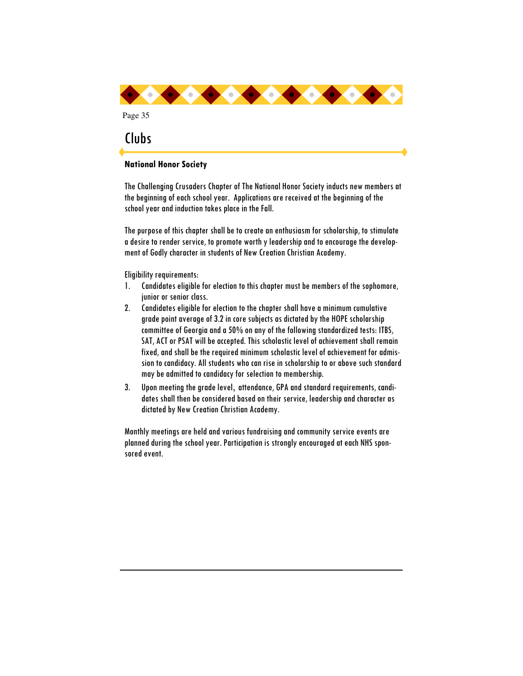

### **National Honor Society**

The Challenging Crusaders Chapter of The National Honor Society inducts new members at the beginning of each school year. Applications are received at the beginning of the school year and induction takes place in the Fall.

The purpose of this chapter shall be to create an enthusiasm for scholarship, to stimulate a desire to render service, to promote worth y leadership and to encourage the development of Godly character in students of New Creation Christian Academy.

Eligibility requirements:

- 1. Candidates eligible for election to this chapter must be members of the sophomore, junior or senior class.
- 2. Candidates eligible for election to the chapter shall have a minimum cumulative grade point average of 3.2 in core subjects as dictated by the HOPE scholarship committee of Georgia and a 50% on any of the following standardized tests: ITBS, SAT, ACT or PSAT will be accepted. This scholastic level of achievement shall remain fixed, and shall be the required minimum scholastic level of achievement for admission to candidacy. All students who can rise in scholarship to or above such standard may be admitted to candidacy for selection to membership.
- 3. Upon meeting the grade level, attendance, GPA and standard requirements, candidates shall then be considered based on their service, leadership and character as dictated by New Creation Christian Academy.

Monthly meetings are held and various fundraising and community service events are planned during the school year. Participation is strongly encouraged at each NHS sponsored event.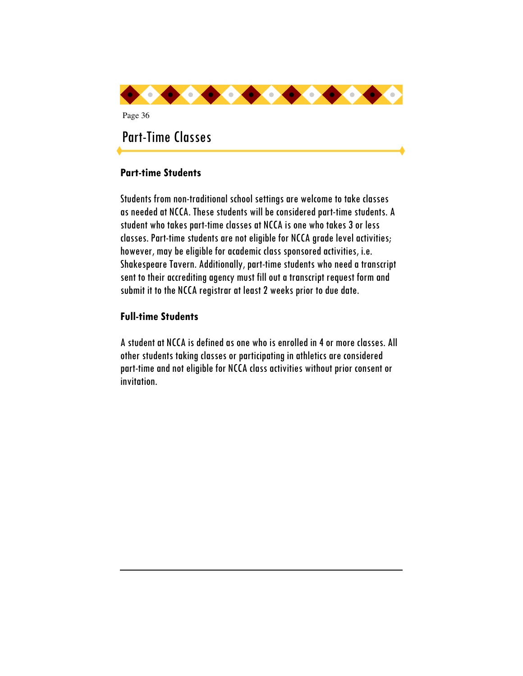

# **Part-time Students**

Students from non-traditional school settings are welcome to take classes as needed at NCCA. These students will be considered part-time students. A student who takes part-time classes at NCCA is one who takes 3 or less classes. Part-time students are not eligible for NCCA grade level activities; however, may be eligible for academic class sponsored activities, i.e. Shakespeare Tavern. Additionally, part-time students who need a transcript sent to their accrediting agency must fill out a transcript request form and submit it to the NCCA registrar at least 2 weeks prior to due date.

# **Full-time Students**

A student at NCCA is defined as one who is enrolled in 4 or more classes. All other students taking classes or participating in athletics are considered part-time and not eligible for NCCA class activities without prior consent or invitation.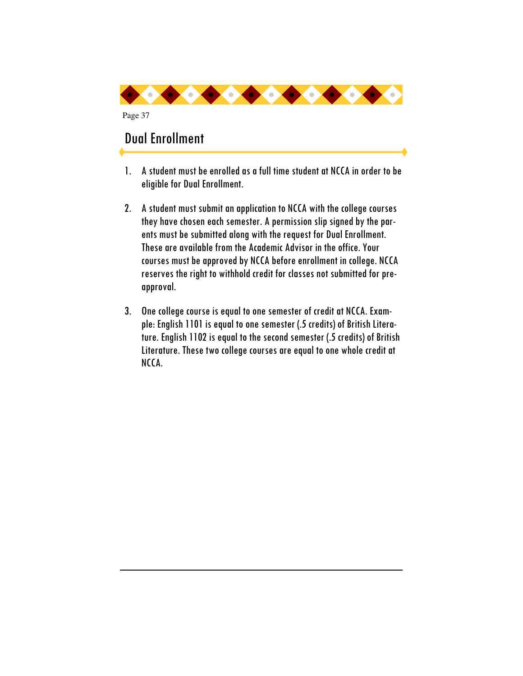

# Dual Enrollment

Page 37

- 1. A student must be enrolled as a full time student at NCCA in order to be eligible for Dual Enrollment.
- 2. A student must submit an application to NCCA with the college courses they have chosen each semester. A permission slip signed by the parents must be submitted along with the request for Dual Enrollment. These are available from the Academic Advisor in the office. Your courses must be approved by NCCA before enrollment in college. NCCA reserves the right to withhold credit for classes not submitted for preapproval.
- 3. One college course is equal to one semester of credit at NCCA. Example: English 1101 is equal to one semester (.5 credits) of British Literature. English 1102 is equal to the second semester (.5 credits) of British Literature. These two college courses are equal to one whole credit at NCCA.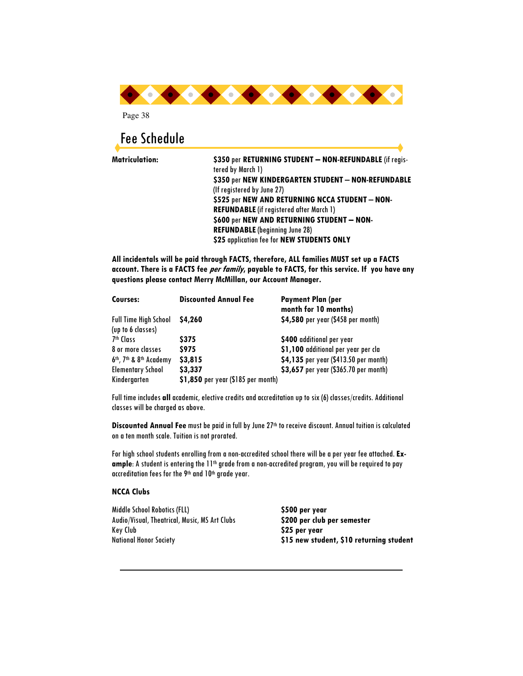

# Fee Schedule

**Matriculation: \$350** per **RETURNING STUDENT – NON-REFUNDABLE** (if registered by March 1) **\$350** per **NEW KINDERGARTEN STUDENT** – **NON-REFUNDABLE** (If registered by June 27) **\$525** per **NEW AND RETURNING NCCA STUDENT** – **NON-REFUNDABLE** (if registered after March 1) **\$600** per **NEW AND RETURNING STUDENT – NON-REFUNDABLE** (beginning June 28) **\$25** application fee for **NEW STUDENTS ONLY** 

**All incidentals will be paid through FACTS, therefore, ALL families MUST set up a FACTS account. There is a FACTS fee per family, payable to FACTS, for this service. If you have any questions please contact Merry McMillan, our Account Manager.** 

| Courses:                                                    | <b>Discounted Annual Fee</b>       | <b>Payment Plan (per</b><br>month for 10 months) |
|-------------------------------------------------------------|------------------------------------|--------------------------------------------------|
| <b>Full Time High School</b><br>(up to 6 classes)           | <b>S4,260</b>                      | \$4,580 per year (\$458 per month)               |
| 7 <sup>th</sup> Class                                       | <b>S375</b>                        | \$400 additional per year                        |
| 8 or more classes                                           | <b>S975</b>                        | \$1,100 additional per year per cla              |
| 6 <sup>th</sup> , 7 <sup>th</sup> & 8 <sup>th</sup> Academy | \$3,815                            | \$4,135 per year (\$413.50 per month)            |
| <b>Elementary School</b>                                    | \$3,337                            | \$3,657 per year (\$365.70 per month)            |
| Kindergarten                                                | \$1,850 per year (\$185 per month) |                                                  |

Full time includes **all** academic, elective credits and accreditation up to six (6) classes/credits. Additional classes will be charged as above.

**Discounted Annual Fee** must be paid in full by June 27th to receive discount. Annual tuition is calculated on a ten month scale. Tuition is not prorated.

For high school students enrolling from a non-accredited school there will be a per year fee attached.**Ex**ample: A student is entering the 11<sup>th</sup> grade from a non-accredited program, you will be required to pay accreditation fees for the 9th and 10th grade year.

#### **NCCA Clubs**

Middle School Robotics (FLL) **\$500 per year** Audio/Visual, Theatrical, Music, MS Art Clubs **\$200 per club per semester** Key Club **\$25 per year** 

National Honor Society **\$15 new student, \$10 returning student**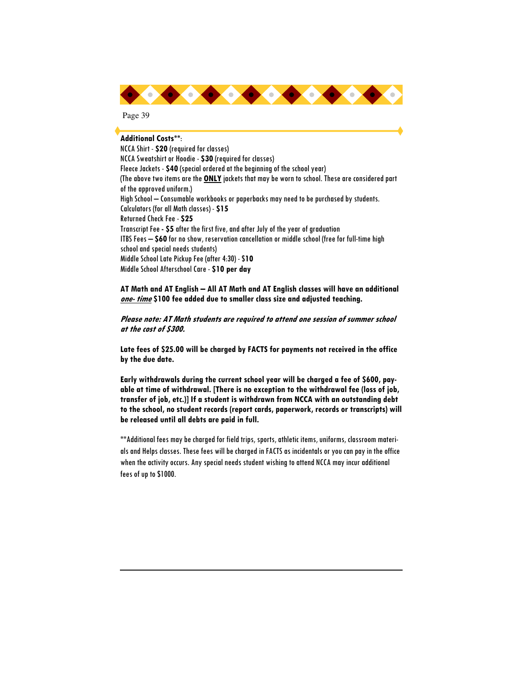

#### **Additional Costs\*\***:

NCCA Shirt - **\$20** (required for classes) NCCA Sweatshirt or Hoodie - **\$30** (required for classes) Fleece Jackets - **\$40** (special ordered at the beginning of the school year) (The above two items are the **ONLY** jackets that may be worn to school. These are considered part of the approved uniform.) High School – Consumable workbooks or paperbacks may need to be purchased by students. Calculators (for all Math classes) - **\$15**  Returned Check Fee - **\$25**  Transcript Fee **- \$5** after the first five, and after July of the year of graduation ITBS Fees – **\$60** for no show, reservation cancellation or middle school (free for full-time high school and special needs students) Middle School Late Pickup Fee (after 4:30) - \$**10**  Middle School Afterschool Care - **\$10 per day**

**AT Math and AT English – All AT Math and AT English classes will have an additional one- time \$100 fee added due to smaller class size and adjusted teaching.** 

**Please note: AT Math students are required to attend one session of summer school at the cost of \$300.** 

**Late fees of \$25.00 will be charged by FACTS for payments not received in the office by the due date.** 

**Early withdrawals during the current school year will be charged a fee of \$600, payable at time of withdrawal. [There is no exception to the withdrawal fee (loss of job, transfer of job, etc.)] If a student is withdrawn from NCCA with an outstanding debt to the school, no student records (report cards, paperwork, records or transcripts) will be released until all debts are paid in full.** 

\*\*Additional fees may be charged for field trips, sports, athletic items, uniforms, classroom materials and Helps classes. These fees will be charged in FACTS as incidentals or you can pay in the office when the activity occurs. Any special needs student wishing to attend NCCA may incur additional fees of up to \$1000.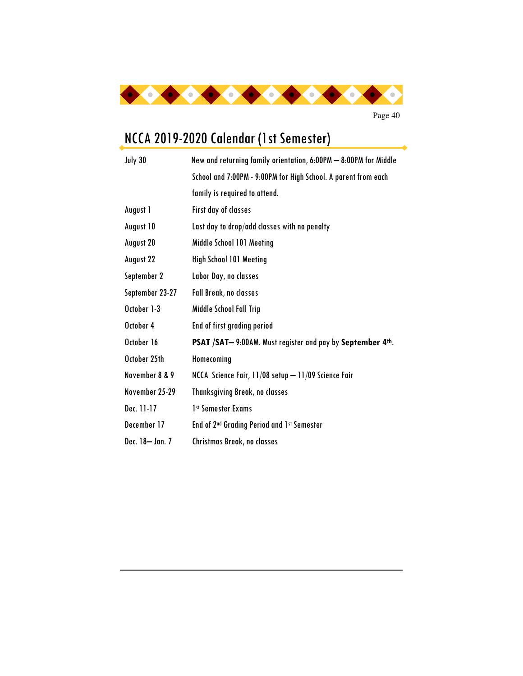

# NCCA 2019-2020 Calendar (1st Semester)

| July 30         | New and returning family orientation, 6:00PM - 8:00PM for Middle |  |  |
|-----------------|------------------------------------------------------------------|--|--|
|                 | School and 7:00PM - 9:00PM for High School. A parent from each   |  |  |
|                 | family is required to attend.                                    |  |  |
| August 1        | <b>First day of classes</b>                                      |  |  |
| August 10       | Last day to drop/add classes with no penalty                     |  |  |
| August 20       | Middle School 101 Meeting                                        |  |  |
| August 22       | <b>High School 101 Meeting</b>                                   |  |  |
| September 2     | Labor Day, no classes                                            |  |  |
| September 23-27 | Fall Break, no classes                                           |  |  |
| October 1-3     | Middle School Fall Trip                                          |  |  |
| October 4       | End of first grading period                                      |  |  |
| October 16      | PSAT / SAT-9:00AM. Must register and pay by September 4th.       |  |  |
| October 25th    | Homecoming                                                       |  |  |
| November 8 & 9  | NCCA Science Fair, 11/08 setup - 11/09 Science Fair              |  |  |
| November 25-29  | <b>Thanksgiving Break, no classes</b>                            |  |  |
| Dec. 11-17      | 1st Semester Exams                                               |  |  |
| December 17     | End of 2 <sup>nd</sup> Grading Period and 1st Semester           |  |  |
| Dec. 18- Jan. 7 | Christmas Break, no classes                                      |  |  |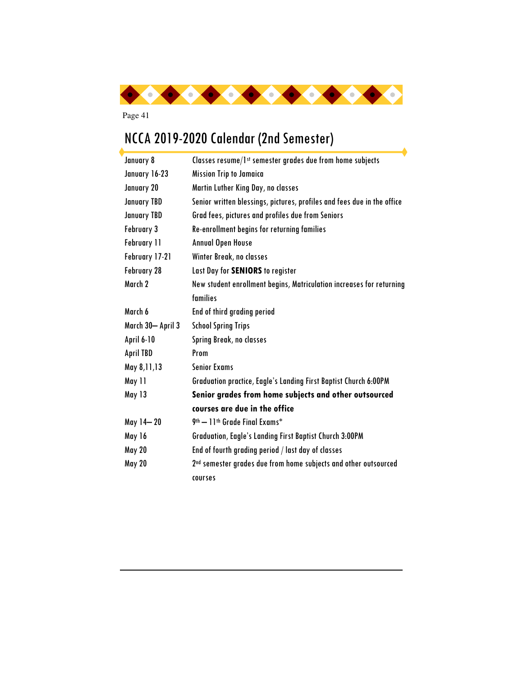

# NCCA 2019-2020 Calendar (2nd Semester)

| January 8          | Classes resume/1st semester grades due from home subjects                   |  |  |
|--------------------|-----------------------------------------------------------------------------|--|--|
| January 16-23      | <b>Mission Trip to Jamaica</b>                                              |  |  |
| January 20         | Martin Luther King Day, no classes                                          |  |  |
| <b>January TBD</b> | Senior written blessings, pictures, profiles and fees due in the office     |  |  |
| <b>January TBD</b> | Grad fees, pictures and profiles due from Seniors                           |  |  |
| February 3         | Re-enrollment begins for returning families                                 |  |  |
| <b>February 11</b> | <b>Annual Open House</b>                                                    |  |  |
| February 17-21     | Winter Break, no classes                                                    |  |  |
| February 28        | Last Day for SENIORS to register                                            |  |  |
| March 2            | New student enrollment begins, Matriculation increases for returning        |  |  |
|                    | families                                                                    |  |  |
| March 6            | End of third grading period                                                 |  |  |
| March 30- April 3  | <b>School Spring Trips</b>                                                  |  |  |
| <b>April 6-10</b>  | Spring Break, no classes                                                    |  |  |
| <b>April TBD</b>   | Prom                                                                        |  |  |
| May 8,11,13        | <b>Senior Exams</b>                                                         |  |  |
| May 11             | Graduation practice, Eagle's Landing First Baptist Church 6:00PM            |  |  |
| May 13             | Senior grades from home subjects and other outsourced                       |  |  |
|                    | courses are due in the office                                               |  |  |
| May 14-20          | 9 <sup>th</sup> - 11 <sup>th</sup> Grade Final Exams*                       |  |  |
| May 16             | Graduation, Eagle's Landing First Baptist Church 3:00PM                     |  |  |
| <b>May 20</b>      | End of fourth grading period / last day of classes                          |  |  |
| <b>May 20</b>      | 2 <sup>nd</sup> semester grades due from home subjects and other outsourced |  |  |
|                    | courses                                                                     |  |  |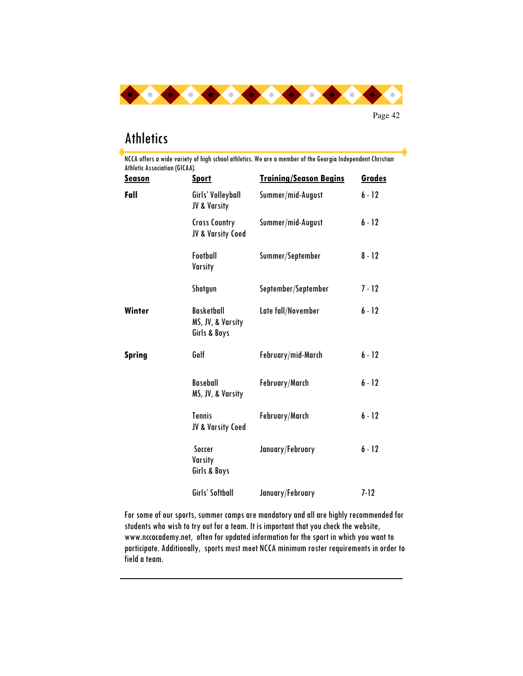

# **Athletics**

| <b>Season</b> | <b>Sport</b>                                           | <b>Training/Season Begins</b> | <b>Grades</b> |
|---------------|--------------------------------------------------------|-------------------------------|---------------|
| Fall          | Girls' Volleyball<br>JV & Varsity                      | Summer/mid-August             | $6 - 12$      |
|               | <b>Cross Country</b><br>JV & Varsity Coed              | Summer/mid-August             | $6 - 12$      |
|               | Football<br>Varsity                                    | Summer/September              | $8 - 12$      |
|               | Shotgun                                                | September/September           | $7 - 12$      |
| Winter        | <b>Basketball</b><br>MS, JV, & Varsity<br>Girls & Boys | Late fall/November            | $6 - 12$      |
| <b>Spring</b> | Golf                                                   | February/mid-March            | $6 - 12$      |
|               | <b>Baseball</b><br>MS, JV, & Varsity                   | February/March                | $6 - 12$      |
|               | <b>Tennis</b><br>JV & Varsity Coed                     | February/March                | $6 - 12$      |
|               | Soccer<br>Varsity<br>Girls & Boys                      | January/February              | $6 - 12$      |
|               | Girls' Softball                                        | January/February              | $7 - 12$      |

For some of our sports, summer camps are mandatory and all are highly recommended for students who wish to try out for a team. It is important that you check the website, www.nccacademy.net, often for updated information for the sport in which you want to participate. Additionally, sports must meet NCCA minimum roster requirements in order to field a team.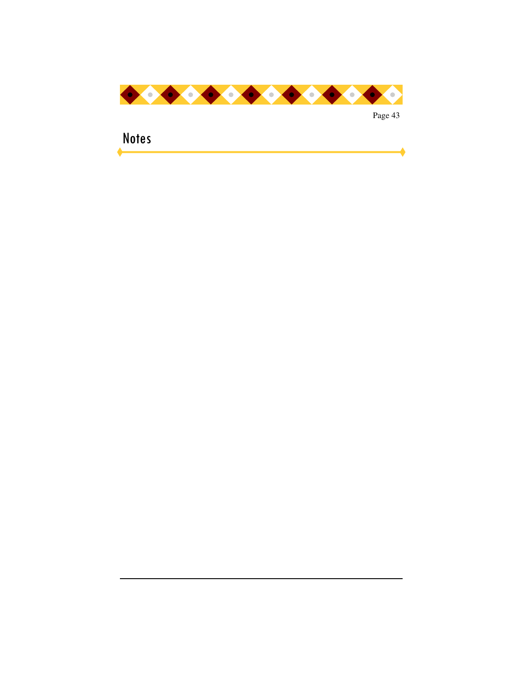